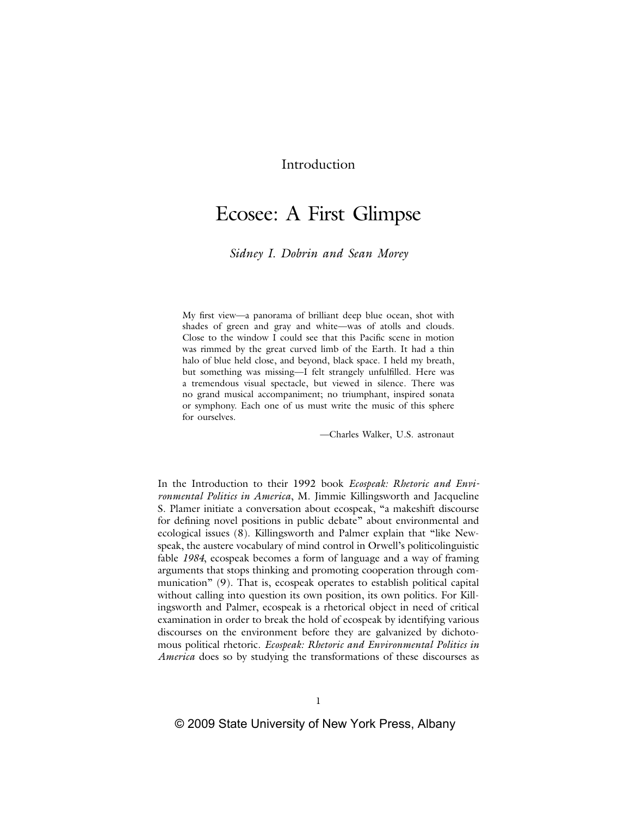## Introduction

# Ecosee: A First Glimpse

*Sidney I. Dobrin and Sean Morey*

My first view—a panorama of brilliant deep blue ocean, shot with shades of green and gray and white—was of atolls and clouds. Close to the window I could see that this Pacific scene in motion was rimmed by the great curved limb of the Earth. It had a thin halo of blue held close, and beyond, black space. I held my breath, but something was missing—I felt strangely unfulfilled. Here was a tremendous visual spectacle, but viewed in silence. There was no grand musical accompaniment; no triumphant, inspired sonata or symphony. Each one of us must write the music of this sphere for ourselves.

—Charles Walker, U.S. astronaut

In the Introduction to their 1992 book *Ecospeak: Rhetoric and Environmental Politics in America*, M. Jimmie Killingsworth and Jacqueline S. Plamer initiate a conversation about ecospeak, "a makeshift discourse for defining novel positions in public debate" about environmental and ecological issues (8). Killingsworth and Palmer explain that "like Newspeak, the austere vocabulary of mind control in Orwell's politicolinguistic fable *1984*, ecospeak becomes a form of language and a way of framing arguments that stops thinking and promoting cooperation through communication" (9). That is, ecospeak operates to establish political capital without calling into question its own position, its own politics. For Killingsworth and Palmer, ecospeak is a rhetorical object in need of critical examination in order to break the hold of ecospeak by identifying various discourses on the environment before they are galvanized by dichotomous political rhetoric. *Ecospeak: Rhetoric and Environmental Politics in America* does so by studying the transformations of these discourses as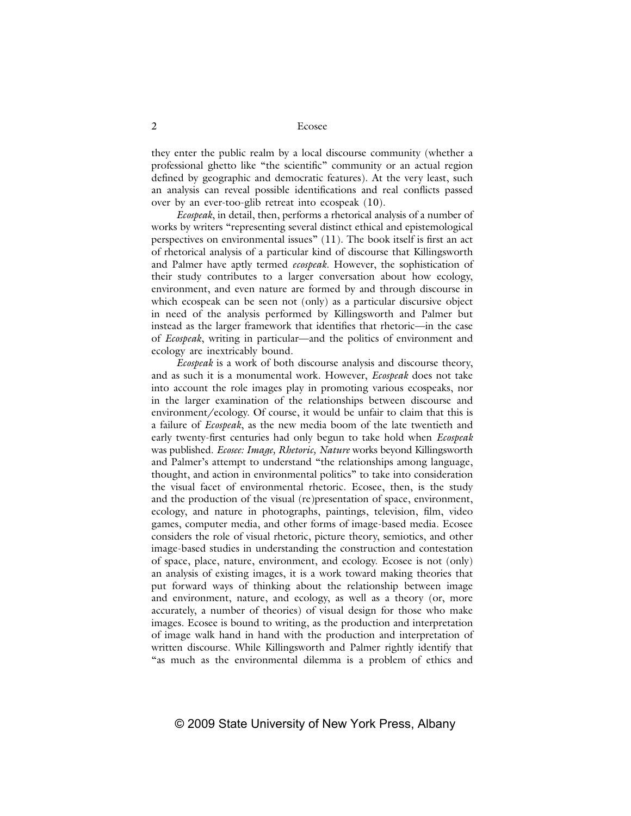they enter the public realm by a local discourse community (whether a professional ghetto like "the scientific" community or an actual region defined by geographic and democratic features). At the very least, such an analysis can reveal possible identifications and real conflicts passed over by an ever-too-glib retreat into ecospeak (10).

*Ecospeak*, in detail, then, performs a rhetorical analysis of a number of works by writers "representing several distinct ethical and epistemological perspectives on environmental issues"  $(11)$ . The book itself is first an act of rhetorical analysis of a particular kind of discourse that Killingsworth and Palmer have aptly termed *ecospeak*. However, the sophistication of their study contributes to a larger conversation about how ecology, environment, and even nature are formed by and through discourse in which ecospeak can be seen not (only) as a particular discursive object in need of the analysis performed by Killingsworth and Palmer but instead as the larger framework that identifies that rhetoric—in the case of *Ecospeak*, writing in particular—and the politics of environment and ecology are inextricably bound.

*Ecospeak* is a work of both discourse analysis and discourse theory, and as such it is a monumental work. However, *Ecospeak* does not take into account the role images play in promoting various ecospeaks, nor in the larger examination of the relationships between discourse and environment/ecology. Of course, it would be unfair to claim that this is a failure of *Ecospeak*, as the new media boom of the late twentieth and early twenty-first centuries had only begun to take hold when *Ecospeak* was published. *Ecosee: Image, Rhetoric, Nature* works beyond Killingsworth and Palmer's attempt to understand "the relationships among language, thought, and action in environmental politics" to take into consideration the visual facet of environmental rhetoric. Ecosee, then, is the study and the production of the visual (re)presentation of space, environment, ecology, and nature in photographs, paintings, television, film, video games, computer media, and other forms of image-based media. Ecosee considers the role of visual rhetoric, picture theory, semiotics, and other image-based studies in understanding the construction and contestation of space, place, nature, environment, and ecology. Ecosee is not (only) an analysis of existing images, it is a work toward making theories that put forward ways of thinking about the relationship between image and environment, nature, and ecology, as well as a theory (or, more accurately, a number of theories) of visual design for those who make images. Ecosee is bound to writing, as the production and interpretation of image walk hand in hand with the production and interpretation of written discourse. While Killingsworth and Palmer rightly identify that "as much as the environmental dilemma is a problem of ethics and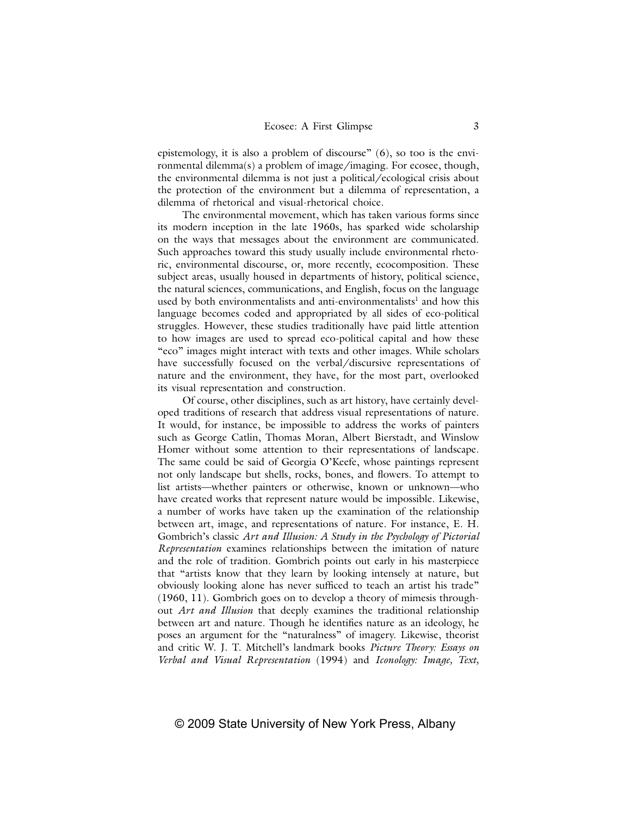epistemology, it is also a problem of discourse" (6), so too is the environmental dilemma(s) a problem of image/imaging. For ecosee, though, the environmental dilemma is not just a political/ecological crisis about the protection of the environment but a dilemma of representation, a dilemma of rhetorical and visual-rhetorical choice.

The environmental movement, which has taken various forms since its modern inception in the late 1960s, has sparked wide scholarship on the ways that messages about the environment are communicated. Such approaches toward this study usually include environmental rhetoric, environmental discourse, or, more recently, ecocomposition. These subject areas, usually housed in departments of history, political science, the natural sciences, communications, and English, focus on the language used by both environmentalists and anti-environmentalists<sup>1</sup> and how this language becomes coded and appropriated by all sides of eco-political struggles. However, these studies traditionally have paid little attention to how images are used to spread eco-political capital and how these "eco" images might interact with texts and other images. While scholars have successfully focused on the verbal/discursive representations of nature and the environment, they have, for the most part, overlooked its visual representation and construction.

Of course, other disciplines, such as art history, have certainly developed traditions of research that address visual representations of nature. It would, for instance, be impossible to address the works of painters such as George Catlin, Thomas Moran, Albert Bierstadt, and Winslow Homer without some attention to their representations of landscape. The same could be said of Georgia O'Keefe, whose paintings represent not only landscape but shells, rocks, bones, and flowers. To attempt to list artists—whether painters or otherwise, known or unknown—who have created works that represent nature would be impossible. Likewise, a number of works have taken up the examination of the relationship between art, image, and representations of nature. For instance, E. H. Gombrich's classic *Art and Illusion: A Study in the Psychology of Pictorial Representation* examines relationships between the imitation of nature and the role of tradition. Gombrich points out early in his masterpiece that "artists know that they learn by looking intensely at nature, but obviously looking alone has never sufficed to teach an artist his trade" (1960, 11). Gombrich goes on to develop a theory of mimesis throughout *Art and Illusion* that deeply examines the traditional relationship between art and nature. Though he identifies nature as an ideology, he poses an argument for the "naturalness" of imagery. Likewise, theorist and critic W. J. T. Mitchell's landmark books *Picture Theory: Essays on Verbal and Visual Representation* (1994) and *Iconology: Image, Text,*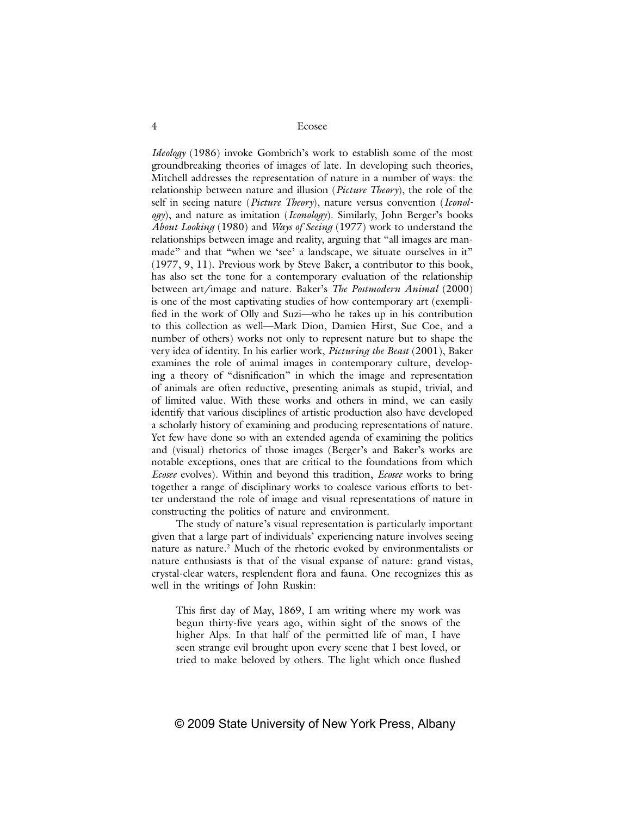*Ideology* (1986) invoke Gombrich's work to establish some of the most groundbreaking theories of images of late. In developing such theories, Mitchell addresses the representation of nature in a number of ways: the relationship between nature and illusion (*Picture Theory*), the role of the self in seeing nature (*Picture Theory*), nature versus convention (*Iconology*), and nature as imitation (*Iconology*). Similarly, John Berger's books *About Looking* (1980) and *Ways of Seeing* (1977) work to understand the relationships between image and reality, arguing that "all images are manmade" and that "when we 'see' a landscape, we situate ourselves in it" (1977, 9, 11). Previous work by Steve Baker, a contributor to this book, has also set the tone for a contemporary evaluation of the relationship between art/image and nature. Baker's *The Postmodern Animal* (2000) is one of the most captivating studies of how contemporary art (exemplified in the work of Olly and Suzi—who he takes up in his contribution to this collection as well—Mark Dion, Damien Hirst, Sue Coe, and a number of others) works not only to represent nature but to shape the very idea of identity. In his earlier work, *Picturing the Beast* (2001), Baker examines the role of animal images in contemporary culture, developing a theory of "disnification" in which the image and representation of animals are often reductive, presenting animals as stupid, trivial, and of limited value. With these works and others in mind, we can easily identify that various disciplines of artistic production also have developed a scholarly history of examining and producing representations of nature. Yet few have done so with an extended agenda of examining the politics and (visual) rhetorics of those images (Berger's and Baker's works are notable exceptions, ones that are critical to the foundations from which *Ecosee* evolves). Within and beyond this tradition, *Ecosee* works to bring together a range of disciplinary works to coalesce various efforts to better understand the role of image and visual representations of nature in constructing the politics of nature and environment.

The study of nature's visual representation is particularly important given that a large part of individuals' experiencing nature involves seeing nature as nature.<sup>2</sup> Much of the rhetoric evoked by environmentalists or nature enthusiasts is that of the visual expanse of nature: grand vistas, crystal-clear waters, resplendent flora and fauna. One recognizes this as well in the writings of John Ruskin:

This first day of May, 1869, I am writing where my work was begun thirty-five years ago, within sight of the snows of the higher Alps. In that half of the permitted life of man, I have seen strange evil brought upon every scene that I best loved, or tried to make beloved by others. The light which once flushed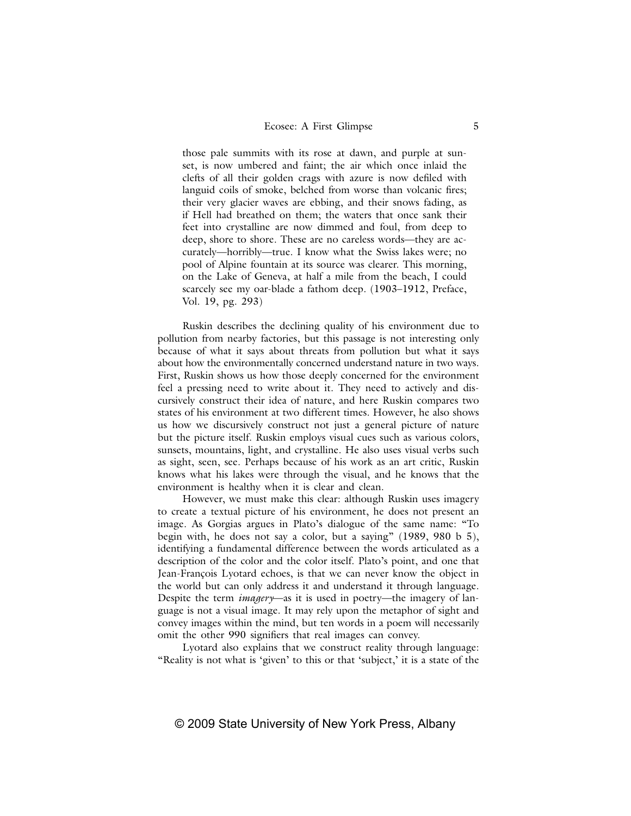those pale summits with its rose at dawn, and purple at sunset, is now umbered and faint; the air which once inlaid the clefts of all their golden crags with azure is now defiled with languid coils of smoke, belched from worse than volcanic fires; their very glacier waves are ebbing, and their snows fading, as if Hell had breathed on them; the waters that once sank their feet into crystalline are now dimmed and foul, from deep to deep, shore to shore. These are no careless words—they are accurately—horribly—true. I know what the Swiss lakes were; no pool of Alpine fountain at its source was clearer. This morning, on the Lake of Geneva, at half a mile from the beach, I could scarcely see my oar-blade a fathom deep. (1903–1912, Preface, Vol. 19, pg. 293)

Ruskin describes the declining quality of his environment due to pollution from nearby factories, but this passage is not interesting only because of what it says about threats from pollution but what it says about how the environmentally concerned understand nature in two ways. First, Ruskin shows us how those deeply concerned for the environment feel a pressing need to write about it. They need to actively and discursively construct their idea of nature, and here Ruskin compares two states of his environment at two different times. However, he also shows us how we discursively construct not just a general picture of nature but the picture itself. Ruskin employs visual cues such as various colors, sunsets, mountains, light, and crystalline. He also uses visual verbs such as sight, seen, see. Perhaps because of his work as an art critic, Ruskin knows what his lakes were through the visual, and he knows that the environment is healthy when it is clear and clean.

However, we must make this clear: although Ruskin uses imagery to create a textual picture of his environment, he does not present an image. As Gorgias argues in Plato's dialogue of the same name: "To begin with, he does not say a color, but a saying" (1989, 980 b 5), identifying a fundamental difference between the words articulated as a description of the color and the color itself. Plato's point, and one that Jean-François Lyotard echoes, is that we can never know the object in the world but can only address it and understand it through language. Despite the term *imagery*—as it is used in poetry—the imagery of language is not a visual image. It may rely upon the metaphor of sight and convey images within the mind, but ten words in a poem will necessarily omit the other 990 signifiers that real images can convey.

Lyotard also explains that we construct reality through language: "Reality is not what is 'given' to this or that 'subject,' it is a state of the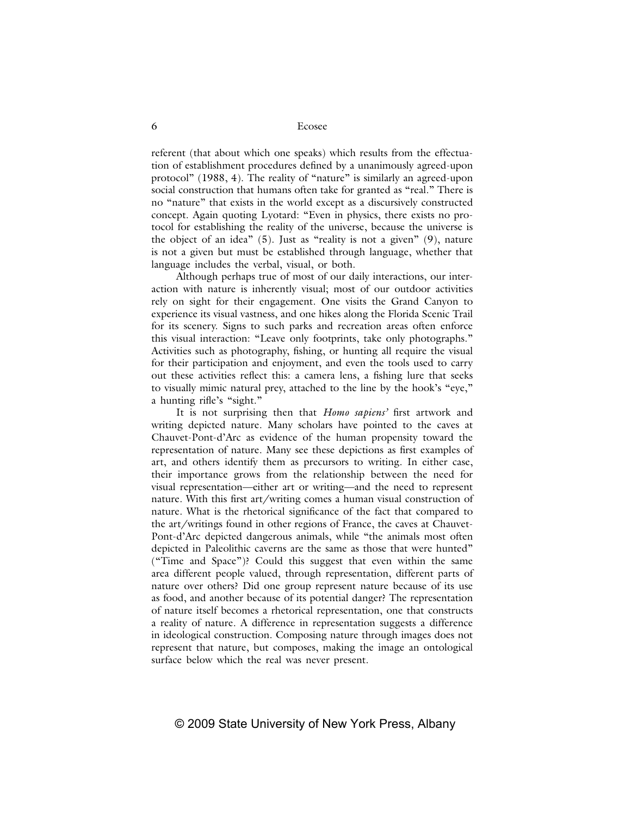referent (that about which one speaks) which results from the effectuation of establishment procedures defined by a unanimously agreed-upon protocol" (1988, 4). The reality of "nature" is similarly an agreed-upon social construction that humans often take for granted as "real." There is no "nature" that exists in the world except as a discursively constructed concept. Again quoting Lyotard: "Even in physics, there exists no protocol for establishing the reality of the universe, because the universe is the object of an idea" (5). Just as "reality is not a given" (9), nature is not a given but must be established through language, whether that language includes the verbal, visual, or both.

Although perhaps true of most of our daily interactions, our interaction with nature is inherently visual; most of our outdoor activities rely on sight for their engagement. One visits the Grand Canyon to experience its visual vastness, and one hikes along the Florida Scenic Trail for its scenery. Signs to such parks and recreation areas often enforce this visual interaction: "Leave only footprints, take only photographs." Activities such as photography, fishing, or hunting all require the visual for their participation and enjoyment, and even the tools used to carry out these activities reflect this: a camera lens, a fishing lure that seeks to visually mimic natural prey, attached to the line by the hook's "eye," a hunting rifle's "sight."

It is not surprising then that *Homo sapiens*' first artwork and writing depicted nature. Many scholars have pointed to the caves at Chauvet-Pont-d'Arc as evidence of the human propensity toward the representation of nature. Many see these depictions as first examples of art, and others identify them as precursors to writing. In either case, their importance grows from the relationship between the need for visual representation—either art or writing—and the need to represent nature. With this first art/writing comes a human visual construction of nature. What is the rhetorical significance of the fact that compared to the art/writings found in other regions of France, the caves at Chauvet-Pont-d'Arc depicted dangerous animals, while "the animals most often depicted in Paleolithic caverns are the same as those that were hunted" ("Time and Space")? Could this suggest that even within the same area different people valued, through representation, different parts of nature over others? Did one group represent nature because of its use as food, and another because of its potential danger? The representation of nature itself becomes a rhetorical representation, one that constructs a reality of nature. A difference in representation suggests a difference in ideological construction. Composing nature through images does not represent that nature, but composes, making the image an ontological surface below which the real was never present.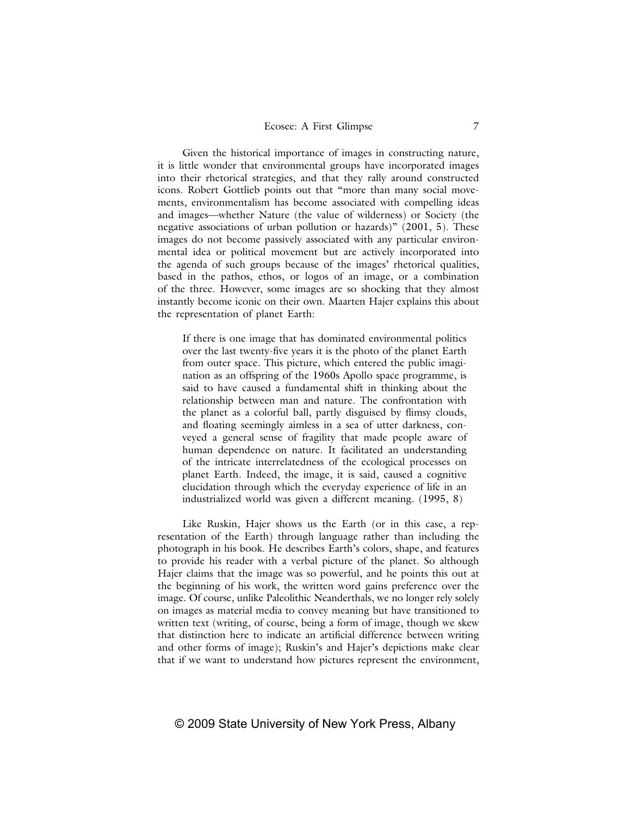Given the historical importance of images in constructing nature, it is little wonder that environmental groups have incorporated images into their rhetorical strategies, and that they rally around constructed icons. Robert Gottlieb points out that "more than many social movements, environmentalism has become associated with compelling ideas and images—whether Nature (the value of wilderness) or Society (the negative associations of urban pollution or hazards)" (2001, 5). These images do not become passively associated with any particular environmental idea or political movement but are actively incorporated into the agenda of such groups because of the images' rhetorical qualities, based in the pathos, ethos, or logos of an image, or a combination of the three. However, some images are so shocking that they almost instantly become iconic on their own. Maarten Hajer explains this about the representation of planet Earth:

If there is one image that has dominated environmental politics over the last twenty-five years it is the photo of the planet Earth from outer space. This picture, which entered the public imagination as an offspring of the 1960s Apollo space programme, is said to have caused a fundamental shift in thinking about the relationship between man and nature. The confrontation with the planet as a colorful ball, partly disguised by flimsy clouds, and floating seemingly aimless in a sea of utter darkness, conveyed a general sense of fragility that made people aware of human dependence on nature. It facilitated an understanding of the intricate interrelatedness of the ecological processes on planet Earth. Indeed, the image, it is said, caused a cognitive elucidation through which the everyday experience of life in an industrialized world was given a different meaning. (1995, 8)

Like Ruskin, Hajer shows us the Earth (or in this case, a representation of the Earth) through language rather than including the photograph in his book. He describes Earth's colors, shape, and features to provide his reader with a verbal picture of the planet. So although Hajer claims that the image was so powerful, and he points this out at the beginning of his work, the written word gains preference over the image. Of course, unlike Paleolithic Neanderthals, we no longer rely solely on images as material media to convey meaning but have transitioned to written text (writing, of course, being a form of image, though we skew that distinction here to indicate an artificial difference between writing and other forms of image); Ruskin's and Hajer's depictions make clear that if we want to understand how pictures represent the environment,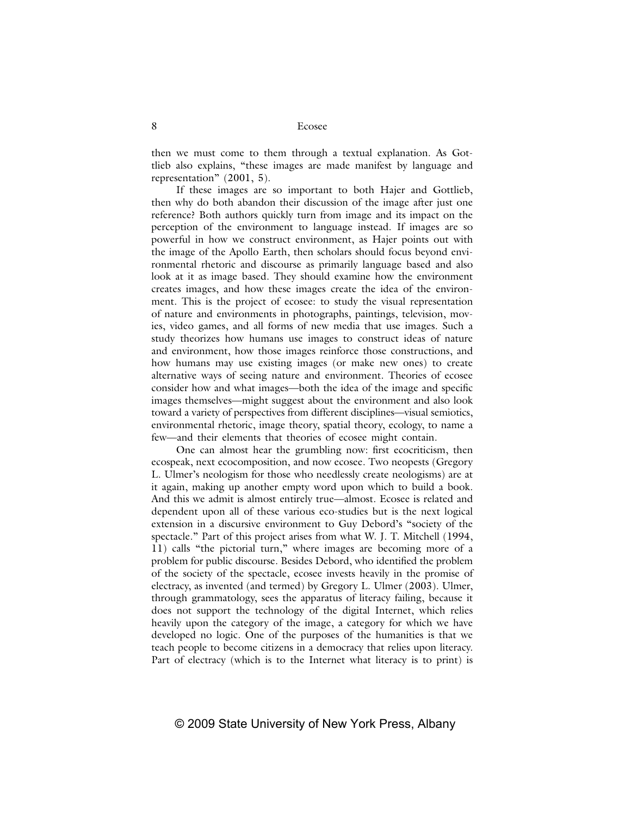then we must come to them through a textual explanation. As Gottlieb also explains, "these images are made manifest by language and representation" (2001, 5).

If these images are so important to both Hajer and Gottlieb, then why do both abandon their discussion of the image after just one reference? Both authors quickly turn from image and its impact on the perception of the environment to language instead. If images are so powerful in how we construct environment, as Hajer points out with the image of the Apollo Earth, then scholars should focus beyond environmental rhetoric and discourse as primarily language based and also look at it as image based. They should examine how the environment creates images, and how these images create the idea of the environment. This is the project of ecosee: to study the visual representation of nature and environments in photographs, paintings, television, movies, video games, and all forms of new media that use images. Such a study theorizes how humans use images to construct ideas of nature and environment, how those images reinforce those constructions, and how humans may use existing images (or make new ones) to create alternative ways of seeing nature and environment. Theories of ecosee consider how and what images—both the idea of the image and specific images themselves—might suggest about the environment and also look toward a variety of perspectives from different disciplines—visual semiotics, environmental rhetoric, image theory, spatial theory, ecology, to name a few—and their elements that theories of ecosee might contain.

One can almost hear the grumbling now: first ecocriticism, then ecospeak, next ecocomposition, and now ecosee. Two neopests (Gregory L. Ulmer's neologism for those who needlessly create neologisms) are at it again, making up another empty word upon which to build a book. And this we admit is almost entirely true—almost. Ecosee is related and dependent upon all of these various eco-studies but is the next logical extension in a discursive environment to Guy Debord's "society of the spectacle." Part of this project arises from what W. J. T. Mitchell (1994, 11) calls "the pictorial turn," where images are becoming more of a problem for public discourse. Besides Debord, who identified the problem of the society of the spectacle, ecosee invests heavily in the promise of electracy, as invented (and termed) by Gregory L. Ulmer (2003). Ulmer, through grammatology, sees the apparatus of literacy failing, because it does not support the technology of the digital Internet, which relies heavily upon the category of the image, a category for which we have developed no logic. One of the purposes of the humanities is that we teach people to become citizens in a democracy that relies upon literacy. Part of electracy (which is to the Internet what literacy is to print) is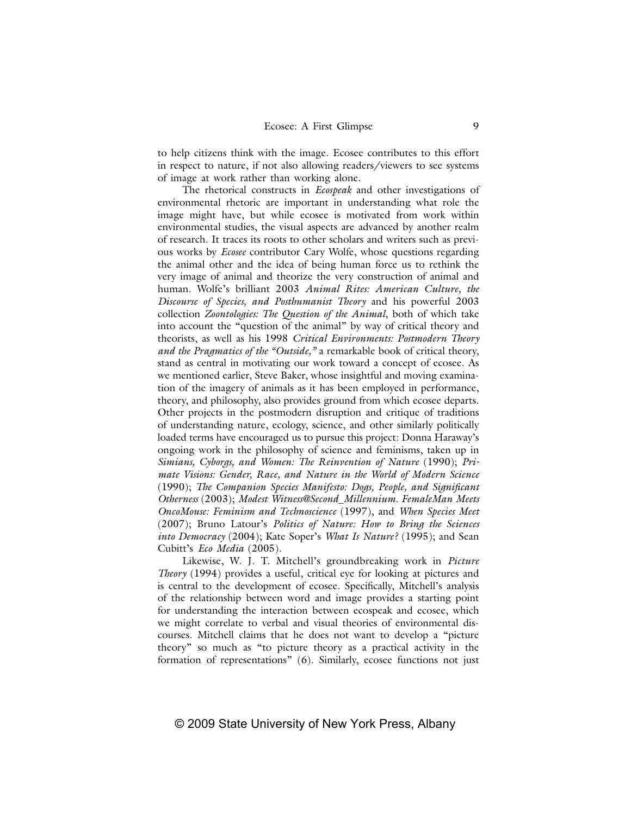to help citizens think with the image. Ecosee contributes to this effort in respect to nature, if not also allowing readers/viewers to see systems of image at work rather than working alone.

The rhetorical constructs in *Ecospeak* and other investigations of environmental rhetoric are important in understanding what role the image might have, but while ecosee is motivated from work within environmental studies, the visual aspects are advanced by another realm of research. It traces its roots to other scholars and writers such as previous works by *Ecosee* contributor Cary Wolfe, whose questions regarding the animal other and the idea of being human force us to rethink the very image of animal and theorize the very construction of animal and human. Wolfe's brilliant 2003 *Animal Rites: American Culture, the Discourse of Species, and Posthumanist Theory* and his powerful 2003 collection *Zoontologies: The Question of the Animal*, both of which take into account the "question of the animal" by way of critical theory and theorists, as well as his 1998 *Critical Environments: Postmodern Theory and the Pragmatics of the "Outside,"* a remarkable book of critical theory, stand as central in motivating our work toward a concept of ecosee. As we mentioned earlier, Steve Baker, whose insightful and moving examination of the imagery of animals as it has been employed in performance, theory, and philosophy, also provides ground from which ecosee departs. Other projects in the postmodern disruption and critique of traditions of understanding nature, ecology, science, and other similarly politically loaded terms have encouraged us to pursue this project: Donna Haraway's ongoing work in the philosophy of science and feminisms, taken up in *Simians, Cyborgs, and Women: The Reinvention of Nature* (1990); *Primate Visions: Gender, Race, and Nature in the World of Modern Science*  (1990); *The Companion Species Manifesto: Dogs, People, and Significant Otherness* (2003); *Modest Witness@Second\_Millennium. FemaleMan Meets OncoMouse: Feminism and Technoscience* (1997), and *When Species Meet* (2007); Bruno Latour's *Politics of Nature: How to Bring the Sciences into Democracy* (2004); Kate Soper's *What Is Nature?* (1995); and Sean Cubitt's *Eco Media* (2005).

Likewise, W. J. T. Mitchell's groundbreaking work in *Picture Theory* (1994) provides a useful, critical eye for looking at pictures and is central to the development of ecosee. Specifically, Mitchell's analysis of the relationship between word and image provides a starting point for understanding the interaction between ecospeak and ecosee, which we might correlate to verbal and visual theories of environmental discourses. Mitchell claims that he does not want to develop a "picture theory" so much as "to picture theory as a practical activity in the formation of representations" (6). Similarly, ecosee functions not just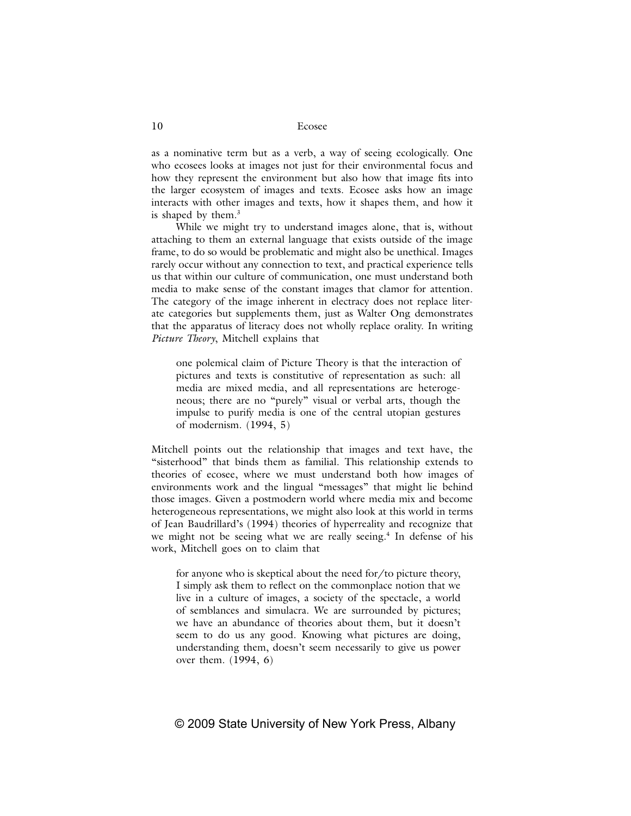as a nominative term but as a verb, a way of seeing ecologically. One who ecosees looks at images not just for their environmental focus and how they represent the environment but also how that image fits into the larger ecosystem of images and texts. Ecosee asks how an image interacts with other images and texts, how it shapes them, and how it is shaped by them.3

While we might try to understand images alone, that is, without attaching to them an external language that exists outside of the image frame, to do so would be problematic and might also be unethical. Images rarely occur without any connection to text, and practical experience tells us that within our culture of communication, one must understand both media to make sense of the constant images that clamor for attention. The category of the image inherent in electracy does not replace literate categories but supplements them, just as Walter Ong demonstrates that the apparatus of literacy does not wholly replace orality. In writing *Picture Theory*, Mitchell explains that

one polemical claim of Picture Theory is that the interaction of pictures and texts is constitutive of representation as such: all media are mixed media, and all representations are heterogeneous; there are no "purely" visual or verbal arts, though the impulse to purify media is one of the central utopian gestures of modernism. (1994, 5)

Mitchell points out the relationship that images and text have, the "sisterhood" that binds them as familial. This relationship extends to theories of ecosee, where we must understand both how images of environments work and the lingual "messages" that might lie behind those images. Given a postmodern world where media mix and become heterogeneous representations, we might also look at this world in terms of Jean Baudrillard's (1994) theories of hyperreality and recognize that we might not be seeing what we are really seeing.<sup>4</sup> In defense of his work, Mitchell goes on to claim that

for anyone who is skeptical about the need for/to picture theory, I simply ask them to reflect on the commonplace notion that we live in a culture of images, a society of the spectacle, a world of semblances and simulacra. We are surrounded by pictures; we have an abundance of theories about them, but it doesn't seem to do us any good. Knowing what pictures are doing, understanding them, doesn't seem necessarily to give us power over them. (1994, 6)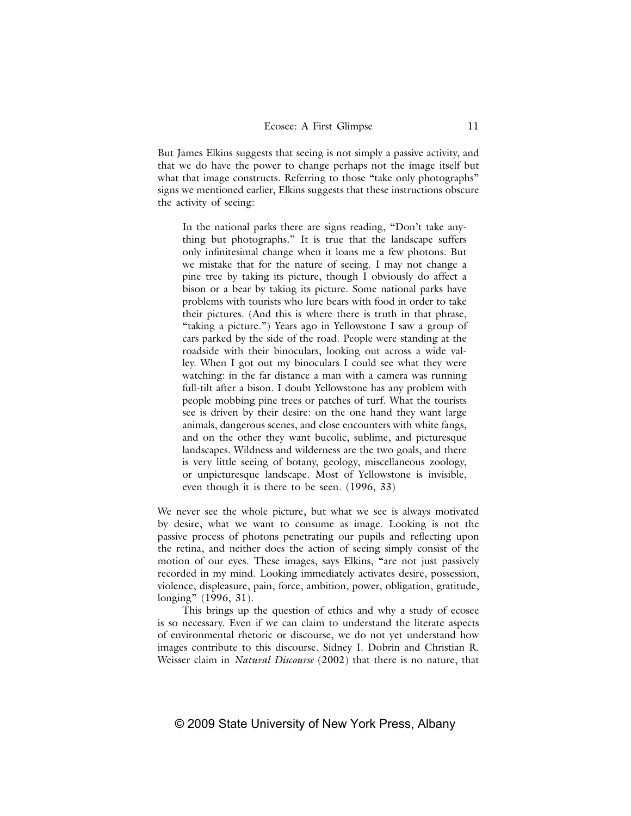But James Elkins suggests that seeing is not simply a passive activity, and that we do have the power to change perhaps not the image itself but what that image constructs. Referring to those "take only photographs" signs we mentioned earlier, Elkins suggests that these instructions obscure the activity of seeing:

In the national parks there are signs reading, "Don't take anything but photographs." It is true that the landscape suffers only infinitesimal change when it loans me a few photons. But we mistake that for the nature of seeing. I may not change a pine tree by taking its picture, though I obviously do affect a bison or a bear by taking its picture. Some national parks have problems with tourists who lure bears with food in order to take their pictures. (And this is where there is truth in that phrase, "taking a picture.") Years ago in Yellowstone I saw a group of cars parked by the side of the road. People were standing at the roadside with their binoculars, looking out across a wide valley. When I got out my binoculars I could see what they were watching: in the far distance a man with a camera was running full-tilt after a bison. I doubt Yellowstone has any problem with people mobbing pine trees or patches of turf. What the tourists see is driven by their desire: on the one hand they want large animals, dangerous scenes, and close encounters with white fangs, and on the other they want bucolic, sublime, and picturesque landscapes. Wildness and wilderness are the two goals, and there is very little seeing of botany, geology, miscellaneous zoology, or unpicturesque landscape. Most of Yellowstone is invisible, even though it is there to be seen. (1996, 33)

We never see the whole picture, but what we see is always motivated by desire, what we want to consume as image. Looking is not the passive process of photons penetrating our pupils and reflecting upon the retina, and neither does the action of seeing simply consist of the motion of our eyes. These images, says Elkins, "are not just passively recorded in my mind. Looking immediately activates desire, possession, violence, displeasure, pain, force, ambition, power, obligation, gratitude, longing" (1996, 31).

This brings up the question of ethics and why a study of ecosee is so necessary. Even if we can claim to understand the literate aspects of environmental rhetoric or discourse, we do not yet understand how images contribute to this discourse. Sidney I. Dobrin and Christian R. Weisser claim in *Natural Discourse* (2002) that there is no nature, that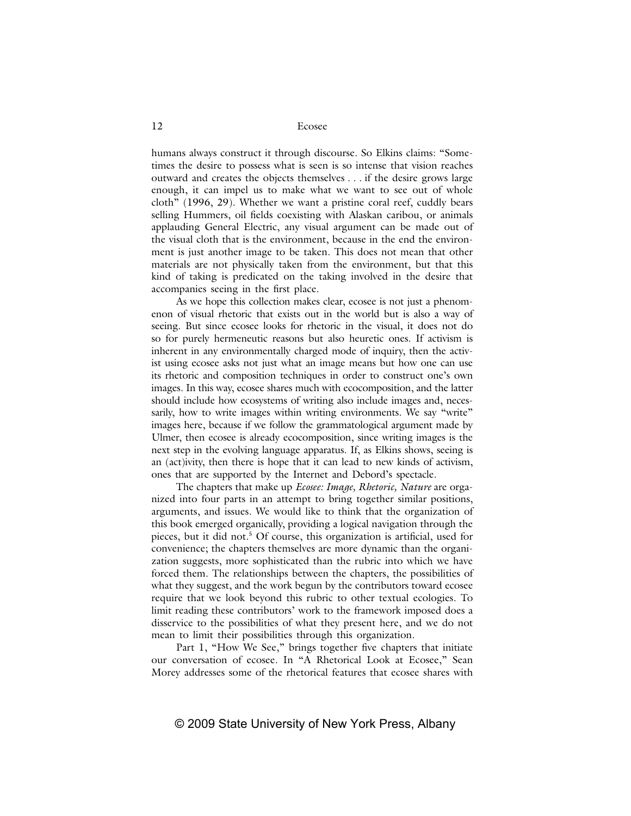humans always construct it through discourse. So Elkins claims: "Sometimes the desire to possess what is seen is so intense that vision reaches outward and creates the objects themselves . . . if the desire grows large enough, it can impel us to make what we want to see out of whole cloth" (1996, 29). Whether we want a pristine coral reef, cuddly bears selling Hummers, oil fields coexisting with Alaskan caribou, or animals applauding General Electric, any visual argument can be made out of the visual cloth that is the environment, because in the end the environment is just another image to be taken. This does not mean that other materials are not physically taken from the environment, but that this kind of taking is predicated on the taking involved in the desire that accompanies seeing in the first place.

As we hope this collection makes clear, ecosee is not just a phenomenon of visual rhetoric that exists out in the world but is also a way of seeing. But since ecosee looks for rhetoric in the visual, it does not do so for purely hermeneutic reasons but also heuretic ones. If activism is inherent in any environmentally charged mode of inquiry, then the activist using ecosee asks not just what an image means but how one can use its rhetoric and composition techniques in order to construct one's own images. In this way, ecosee shares much with ecocomposition, and the latter should include how ecosystems of writing also include images and, necessarily, how to write images within writing environments. We say "write" images here, because if we follow the grammatological argument made by Ulmer, then ecosee is already ecocomposition, since writing images is the next step in the evolving language apparatus. If, as Elkins shows, seeing is an (act)ivity, then there is hope that it can lead to new kinds of activism, ones that are supported by the Internet and Debord's spectacle.

The chapters that make up *Ecosee: Image, Rhetoric, Nature* are organized into four parts in an attempt to bring together similar positions, arguments, and issues. We would like to think that the organization of this book emerged organically, providing a logical navigation through the pieces, but it did not.<sup>5</sup> Of course, this organization is artificial, used for convenience; the chapters themselves are more dynamic than the organization suggests, more sophisticated than the rubric into which we have forced them. The relationships between the chapters, the possibilities of what they suggest, and the work begun by the contributors toward ecosee require that we look beyond this rubric to other textual ecologies. To limit reading these contributors' work to the framework imposed does a disservice to the possibilities of what they present here, and we do not mean to limit their possibilities through this organization.

Part 1, "How We See," brings together five chapters that initiate our conversation of ecosee. In "A Rhetorical Look at Ecosee," Sean Morey addresses some of the rhetorical features that ecosee shares with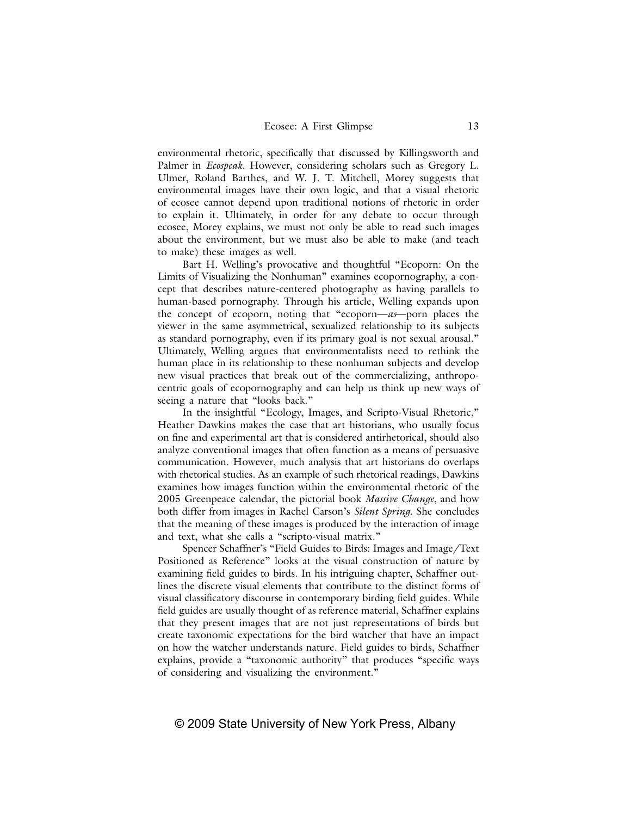environmental rhetoric, specifically that discussed by Killingsworth and Palmer in *Ecospeak*. However, considering scholars such as Gregory L. Ulmer, Roland Barthes, and W. J. T. Mitchell, Morey suggests that environmental images have their own logic, and that a visual rhetoric of ecosee cannot depend upon traditional notions of rhetoric in order to explain it. Ultimately, in order for any debate to occur through ecosee, Morey explains, we must not only be able to read such images about the environment, but we must also be able to make (and teach to make) these images as well.

Bart H. Welling's provocative and thoughtful "Ecoporn: On the Limits of Visualizing the Nonhuman" examines ecopornography, a concept that describes nature-centered photography as having parallels to human-based pornography. Through his article, Welling expands upon the concept of ecoporn, noting that "ecoporn—*as*—porn places the viewer in the same asymmetrical, sexualized relationship to its subjects as standard pornography, even if its primary goal is not sexual arousal." Ultimately, Welling argues that environmentalists need to rethink the human place in its relationship to these nonhuman subjects and develop new visual practices that break out of the commercializing, anthropocentric goals of ecopornography and can help us think up new ways of seeing a nature that "looks back."

In the insightful "Ecology, Images, and Scripto-Visual Rhetoric," Heather Dawkins makes the case that art historians, who usually focus on fine and experimental art that is considered antirhetorical, should also analyze conventional images that often function as a means of persuasive communication. However, much analysis that art historians do overlaps with rhetorical studies. As an example of such rhetorical readings, Dawkins examines how images function within the environmental rhetoric of the 2005 Greenpeace calendar, the pictorial book *Massive Change*, and how both differ from images in Rachel Carson's *Silent Spring*. She concludes that the meaning of these images is produced by the interaction of image and text, what she calls a "scripto-visual matrix."

Spencer Schaffner's "Field Guides to Birds: Images and Image/Text Positioned as Reference" looks at the visual construction of nature by examining field guides to birds. In his intriguing chapter, Schaffner outlines the discrete visual elements that contribute to the distinct forms of visual classificatory discourse in contemporary birding field guides. While field guides are usually thought of as reference material, Schaffner explains that they present images that are not just representations of birds but create taxonomic expectations for the bird watcher that have an impact on how the watcher understands nature. Field guides to birds, Schaffner explains, provide a "taxonomic authority" that produces "specific ways of considering and visualizing the environment."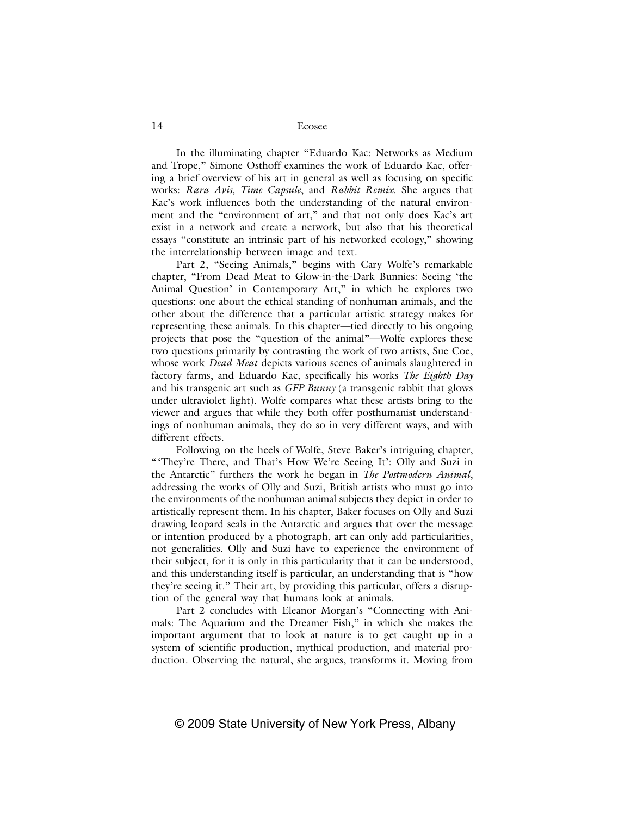In the illuminating chapter "Eduardo Kac: Networks as Medium and Trope," Simone Osthoff examines the work of Eduardo Kac, offering a brief overview of his art in general as well as focusing on specific works: *Rara Avis*, *Time Capsule*, and *Rabbit Remix*. She argues that Kac's work influences both the understanding of the natural environment and the "environment of art," and that not only does Kac's art exist in a network and create a network, but also that his theoretical essays "constitute an intrinsic part of his networked ecology," showing the interrelationship between image and text.

Part 2, "Seeing Animals," begins with Cary Wolfe's remarkable chapter, "From Dead Meat to Glow-in-the-Dark Bunnies: Seeing 'the Animal Question' in Contemporary Art," in which he explores two questions: one about the ethical standing of nonhuman animals, and the other about the difference that a particular artistic strategy makes for representing these animals. In this chapter—tied directly to his ongoing projects that pose the "question of the animal"—Wolfe explores these two questions primarily by contrasting the work of two artists, Sue Coe, whose work *Dead Meat* depicts various scenes of animals slaughtered in factory farms, and Eduardo Kac, specifically his works *The Eighth Day* and his transgenic art such as *GFP Bunny* (a transgenic rabbit that glows under ultraviolet light). Wolfe compares what these artists bring to the viewer and argues that while they both offer posthumanist understandings of nonhuman animals, they do so in very different ways, and with different effects.

Following on the heels of Wolfe, Steve Baker's intriguing chapter, "They're There, and That's How We're Seeing It': Olly and Suzi in the Antarctic" furthers the work he began in *The Postmodern Animal*, addressing the works of Olly and Suzi, British artists who must go into the environments of the nonhuman animal subjects they depict in order to artistically represent them. In his chapter, Baker focuses on Olly and Suzi drawing leopard seals in the Antarctic and argues that over the message or intention produced by a photograph, art can only add particularities, not generalities. Olly and Suzi have to experience the environment of their subject, for it is only in this particularity that it can be understood, and this understanding itself is particular, an understanding that is "how they're seeing it." Their art, by providing this particular, offers a disruption of the general way that humans look at animals.

Part 2 concludes with Eleanor Morgan's "Connecting with Animals: The Aquarium and the Dreamer Fish," in which she makes the important argument that to look at nature is to get caught up in a system of scientific production, mythical production, and material production. Observing the natural, she argues, transforms it. Moving from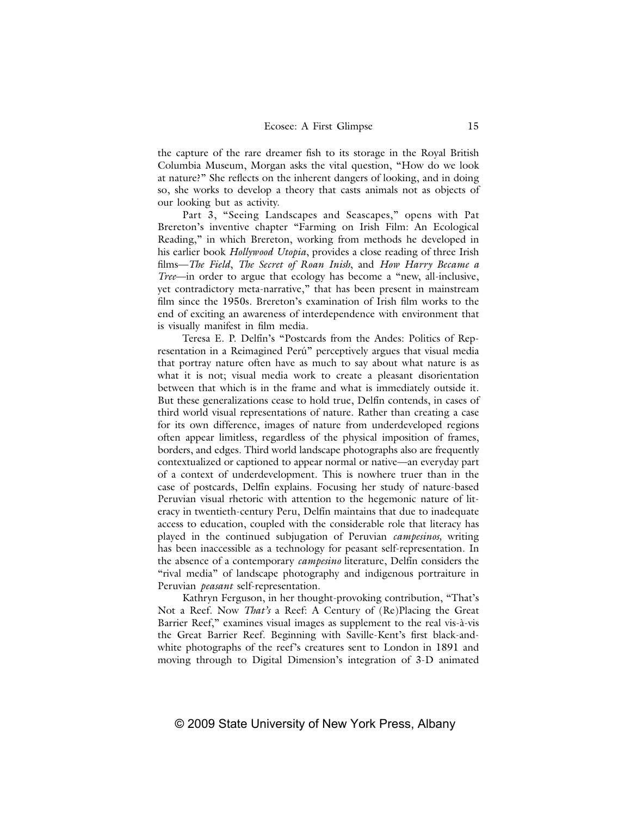the capture of the rare dreamer fish to its storage in the Royal British Columbia Museum, Morgan asks the vital question, "How do we look at nature?" She reflects on the inherent dangers of looking, and in doing so, she works to develop a theory that casts animals not as objects of our looking but as activity.

Part 3, "Seeing Landscapes and Seascapes," opens with Pat Brereton's inventive chapter "Farming on Irish Film: An Ecological Reading," in which Brereton, working from methods he developed in his earlier book *Hollywood Utopia*, provides a close reading of three Irish films—*The Field*, *The Secret of Roan Inish*, and *How Harry Became a Tree*—in order to argue that ecology has become a "new, all-inclusive, yet contradictory meta-narrative," that has been present in mainstream film since the 1950s. Brereton's examination of Irish film works to the end of exciting an awareness of interdependence with environment that is visually manifest in film media.

Teresa E. P. Delfín's "Postcards from the Andes: Politics of Representation in a Reimagined Perú" perceptively argues that visual media that portray nature often have as much to say about what nature is as what it is not; visual media work to create a pleasant disorientation between that which is in the frame and what is immediately outside it. But these generalizations cease to hold true, Delfín contends, in cases of third world visual representations of nature. Rather than creating a case for its own difference, images of nature from underdeveloped regions often appear limitless, regardless of the physical imposition of frames, borders, and edges. Third world landscape photographs also are frequently contextualized or captioned to appear normal or native—an everyday part of a context of underdevelopment. This is nowhere truer than in the case of postcards, Delfín explains. Focusing her study of nature-based Peruvian visual rhetoric with attention to the hegemonic nature of literacy in twentieth-century Peru, Delfín maintains that due to inadequate access to education, coupled with the considerable role that literacy has played in the continued subjugation of Peruvian *campesinos,* writing has been inaccessible as a technology for peasant self-representation. In the absence of a contemporary *campesino* literature, Delfín considers the "rival media" of landscape photography and indigenous portraiture in Peruvian *peasant* self-representation.

Kathryn Ferguson, in her thought-provoking contribution, "That's Not a Reef. Now *That's* a Reef: A Century of (Re)Placing the Great Barrier Reef," examines visual images as supplement to the real vis-à-vis the Great Barrier Reef. Beginning with Saville-Kent's first black-andwhite photographs of the reef's creatures sent to London in 1891 and moving through to Digital Dimension's integration of 3-D animated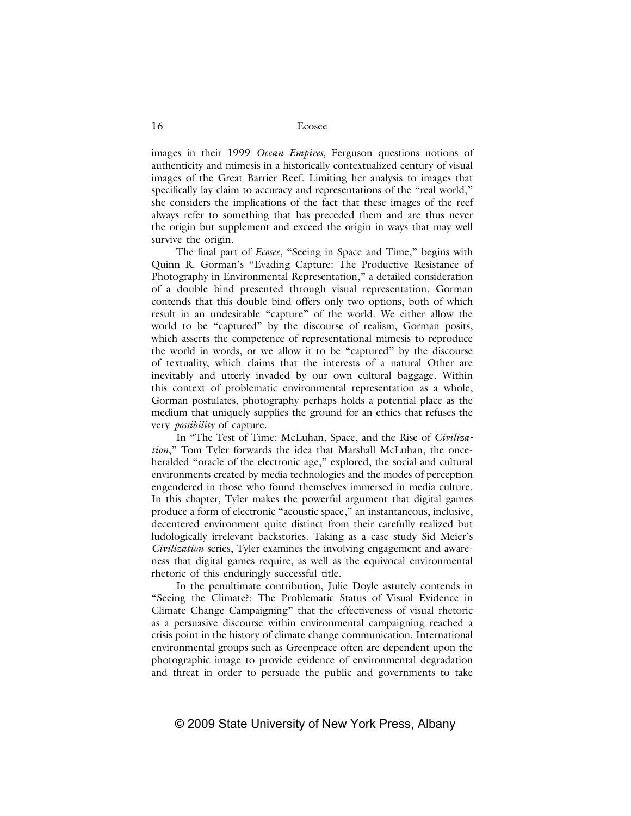images in their 1999 *Ocean Empires*, Ferguson questions notions of authenticity and mimesis in a historically contextualized century of visual images of the Great Barrier Reef. Limiting her analysis to images that specifically lay claim to accuracy and representations of the "real world," she considers the implications of the fact that these images of the reef always refer to something that has preceded them and are thus never the origin but supplement and exceed the origin in ways that may well survive the origin.

The final part of *Ecosee*, "Seeing in Space and Time," begins with Quinn R. Gorman's "Evading Capture: The Productive Resistance of Photography in Environmental Representation," a detailed consideration of a double bind presented through visual representation. Gorman contends that this double bind offers only two options, both of which result in an undesirable "capture" of the world. We either allow the world to be "captured" by the discourse of realism, Gorman posits, which asserts the competence of representational mimesis to reproduce the world in words, or we allow it to be "captured" by the discourse of textuality, which claims that the interests of a natural Other are inevitably and utterly invaded by our own cultural baggage. Within this context of problematic environmental representation as a whole, Gorman postulates, photography perhaps holds a potential place as the medium that uniquely supplies the ground for an ethics that refuses the very *possibility* of capture.

In "The Test of Time: McLuhan, Space, and the Rise of *Civilization*," Tom Tyler forwards the idea that Marshall McLuhan, the onceheralded "oracle of the electronic age," explored, the social and cultural environments created by media technologies and the modes of perception engendered in those who found themselves immersed in media culture. In this chapter, Tyler makes the powerful argument that digital games produce a form of electronic "acoustic space," an instantaneous, inclusive, decentered environment quite distinct from their carefully realized but ludologically irrelevant backstories. Taking as a case study Sid Meier's *Civilization* series, Tyler examines the involving engagement and awareness that digital games require, as well as the equivocal environmental rhetoric of this enduringly successful title.

In the penultimate contribution, Julie Doyle astutely contends in "Seeing the Climate?: The Problematic Status of Visual Evidence in Climate Change Campaigning" that the effectiveness of visual rhetoric as a persuasive discourse within environmental campaigning reached a crisis point in the history of climate change communication. International environmental groups such as Greenpeace often are dependent upon the photographic image to provide evidence of environmental degradation and threat in order to persuade the public and governments to take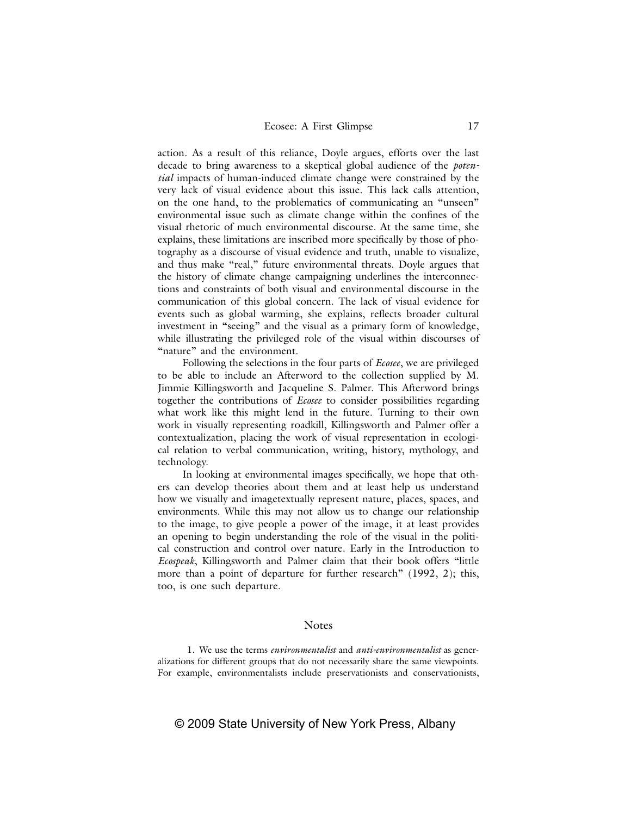action. As a result of this reliance, Doyle argues, efforts over the last decade to bring awareness to a skeptical global audience of the *potential* impacts of human-induced climate change were constrained by the very lack of visual evidence about this issue. This lack calls attention, on the one hand, to the problematics of communicating an "unseen" environmental issue such as climate change within the confines of the visual rhetoric of much environmental discourse. At the same time, she explains, these limitations are inscribed more specifically by those of photography as a discourse of visual evidence and truth, unable to visualize, and thus make "real," future environmental threats. Doyle argues that the history of climate change campaigning underlines the interconnections and constraints of both visual and environmental discourse in the communication of this global concern. The lack of visual evidence for events such as global warming, she explains, reflects broader cultural investment in "seeing" and the visual as a primary form of knowledge, while illustrating the privileged role of the visual within discourses of "nature" and the environment.

Following the selections in the four parts of *Ecosee*, we are privileged to be able to include an Afterword to the collection supplied by M. Jimmie Killingsworth and Jacqueline S. Palmer. This Afterword brings together the contributions of *Ecosee* to consider possibilities regarding what work like this might lend in the future. Turning to their own work in visually representing roadkill, Killingsworth and Palmer offer a contextualization, placing the work of visual representation in ecological relation to verbal communication, writing, history, mythology, and technology.

In looking at environmental images specifically, we hope that others can develop theories about them and at least help us understand how we visually and imagetextually represent nature, places, spaces, and environments. While this may not allow us to change our relationship to the image, to give people a power of the image, it at least provides an opening to begin understanding the role of the visual in the political construction and control over nature. Early in the Introduction to *Ecospeak*, Killingsworth and Palmer claim that their book offers "little more than a point of departure for further research" (1992, 2); this, too, is one such departure.

### **Notes**

 1. We use the terms *environmentalist* and *anti-environmentalist* as generalizations for different groups that do not necessarily share the same viewpoints. For example, environmentalists include preservationists and conservationists,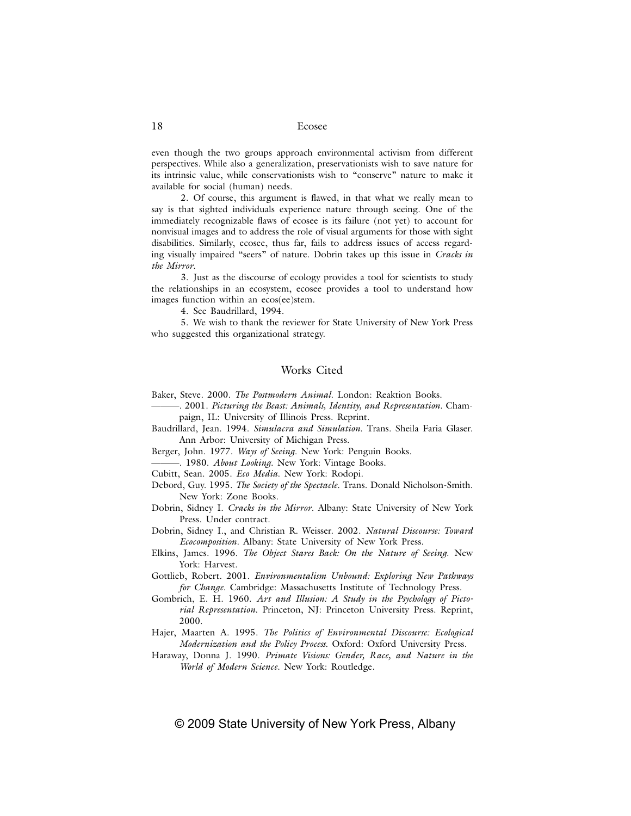even though the two groups approach environmental activism from different perspectives. While also a generalization, preservationists wish to save nature for its intrinsic value, while conservationists wish to "conserve" nature to make it available for social (human) needs.

2. Of course, this argument is flawed, in that what we really mean to say is that sighted individuals experience nature through seeing. One of the immediately recognizable flaws of ecosee is its failure (not yet) to account for nonvisual images and to address the role of visual arguments for those with sight disabilities. Similarly, ecosee, thus far, fails to address issues of access regarding visually impaired "seers" of nature. Dobrin takes up this issue in *Cracks in the Mirror*.

 3. Just as the discourse of ecology provides a tool for scientists to study the relationships in an ecosystem, ecosee provides a tool to understand how images function within an ecos(ee)stem.

4. See Baudrillard, 1994.

 5. We wish to thank the reviewer for State University of New York Press who suggested this organizational strategy.

## Works Cited

Baker, Steve. 2000. *The Postmodern Animal*. London: Reaktion Books.

- ———. 2001. *Picturing the Beast: Animals, Identity, and Representation*. Champaign, IL: University of Illinois Press. Reprint.
- Baudrillard, Jean. 1994. *Simulacra and Simulation*. Trans. Sheila Faria Glaser. Ann Arbor: University of Michigan Press.
- Berger, John. 1977. *Ways of Seeing.* New York: Penguin Books.
- ———. 1980. *About Looking*. New York: Vintage Books.
- Cubitt, Sean. 2005. *Eco Media*. New York: Rodopi.
- Debord, Guy. 1995. *The Society of the Spectacle*. Trans. Donald Nicholson-Smith. New York: Zone Books.
- Dobrin, Sidney I. *Cracks in the Mirror*. Albany: State University of New York Press. Under contract.

Dobrin, Sidney I., and Christian R. Weisser. 2002. *Natural Discourse: Toward Ecocomposition*. Albany: State University of New York Press.

- Elkins, James. 1996. *The Object Stares Back: On the Nature of Seeing*. New York: Harvest.
- Gottlieb, Robert. 2001. *Environmentalism Unbound: Exploring New Pathways for Change*. Cambridge: Massachusetts Institute of Technology Press.
- Gombrich, E. H. 1960. *Art and Illusion: A Study in the Psychology of Pictorial Representation*. Princeton, NJ: Princeton University Press. Reprint, 2000.
- Hajer, Maarten A. 1995. *The Politics of Environmental Discourse: Ecological Modernization and the Policy Process*. Oxford: Oxford University Press.
- Haraway, Donna J. 1990. *Primate Visions: Gender, Race, and Nature in the World of Modern Science*. New York: Routledge.

## © 2009 State University of New York Press, Albany